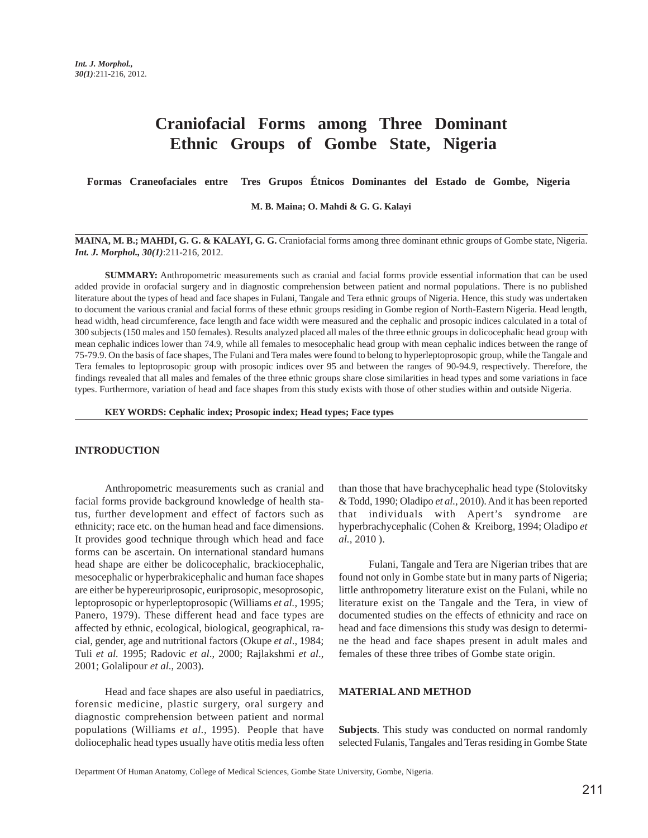# **Craniofacial Forms among Three Dominant Ethnic Groups of Gombe State, Nigeria**

**Formas Craneofaciales entre Tres Grupos Étnicos Dominantes del Estado de Gombe, Nigeria**

**M. B. Maina; O. Mahdi & G. G. Kalayi**

**MAINA, M. B.; MAHDI, G. G. & KALAYI, G. G.** Craniofacial forms among three dominant ethnic groups of Gombe state, Nigeria. *Int. J. Morphol., 30(1)*:211-216, 2012.

**SUMMARY:** Anthropometric measurements such as cranial and facial forms provide essential information that can be used added provide in orofacial surgery and in diagnostic comprehension between patient and normal populations. There is no published literature about the types of head and face shapes in Fulani, Tangale and Tera ethnic groups of Nigeria. Hence, this study was undertaken to document the various cranial and facial forms of these ethnic groups residing in Gombe region of North-Eastern Nigeria. Head length, head width, head circumference, face length and face width were measured and the cephalic and prosopic indices calculated in a total of 300 subjects (150 males and 150 females). Results analyzed placed all males of the three ethnic groups in dolicocephalic head group with mean cephalic indices lower than 74.9, while all females to mesocephalic head group with mean cephalic indices between the range of 75-79.9. On the basis of face shapes, The Fulani and Tera males were found to belong to hyperleptoprosopic group, while the Tangale and Tera females to leptoprosopic group with prosopic indices over 95 and between the ranges of 90-94.9, respectively. Therefore, the findings revealed that all males and females of the three ethnic groups share close similarities in head types and some variations in face types. Furthermore, variation of head and face shapes from this study exists with those of other studies within and outside Nigeria.

**KEY WORDS: Cephalic index; Prosopic index; Head types; Face types**

# **INTRODUCTION**

Anthropometric measurements such as cranial and facial forms provide background knowledge of health status, further development and effect of factors such as ethnicity; race etc. on the human head and face dimensions. It provides good technique through which head and face forms can be ascertain. On international standard humans head shape are either be dolicocephalic, brackiocephalic, mesocephalic or hyperbrakicephalic and human face shapes are either be hypereuriprosopic, euriprosopic, mesoprosopic, leptoprosopic or hyperleptoprosopic (Williams *et al.*, 1995; Panero, 1979). These different head and face types are affected by ethnic, ecological, biological, geographical, racial, gender, age and nutritional factors (Okupe *et al*., 1984; Tuli *et al.* 1995; Radovic *et al*., 2000; Rajlakshmi *et al*., 2001; Golalipour *et al*., 2003).

Head and face shapes are also useful in paediatrics, forensic medicine, plastic surgery, oral surgery and diagnostic comprehension between patient and normal populations (Williams *et al.,* 1995). People that have doliocephalic head types usually have otitis media less often than those that have brachycephalic head type (Stolovitsky & Todd, 1990; Oladipo *et al.,* 2010). And it has been reported that individuals with Apert's syndrome are hyperbrachycephalic (Cohen & Kreiborg, 1994; Oladipo *et al.,* 2010 ).

Fulani, Tangale and Tera are Nigerian tribes that are found not only in Gombe state but in many parts of Nigeria; little anthropometry literature exist on the Fulani, while no literature exist on the Tangale and the Tera, in view of documented studies on the effects of ethnicity and race on head and face dimensions this study was design to determine the head and face shapes present in adult males and females of these three tribes of Gombe state origin.

## **MATERIAL AND METHOD**

**Subjects**. This study was conducted on normal randomly selected Fulanis, Tangales and Teras residing in Gombe State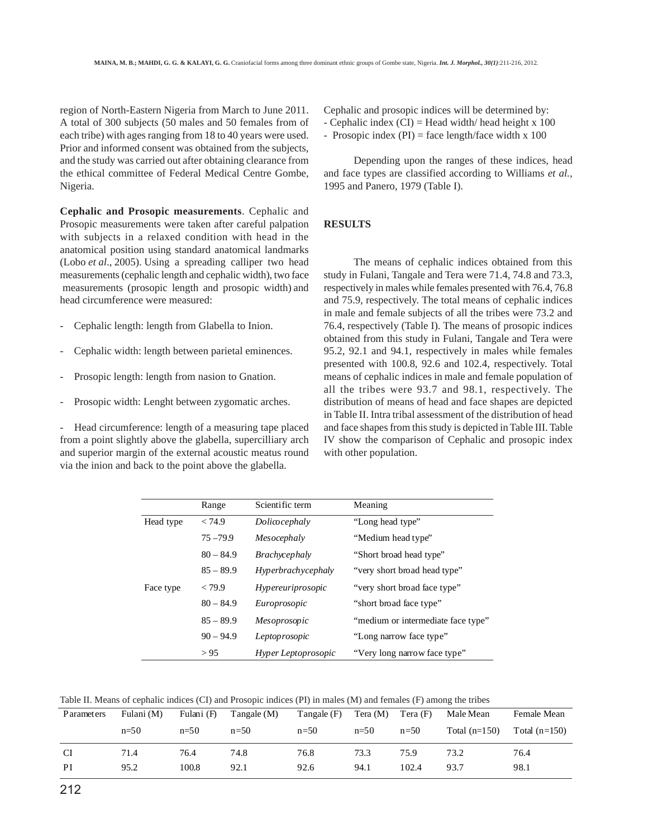region of North-Eastern Nigeria from March to June 2011. A total of 300 subjects (50 males and 50 females from of each tribe) with ages ranging from 18 to 40 years were used. Prior and informed consent was obtained from the subjects, and the study was carried out after obtaining clearance from the ethical committee of Federal Medical Centre Gombe, Nigeria.

**Cephalic and Prosopic measurements**. Cephalic and Prosopic measurements were taken after careful palpation with subjects in a relaxed condition with head in the anatomical position using standard anatomical landmarks (Lobo *et al*., 2005). Using a spreading calliper two head measurements (cephalic length and cephalic width), two face measurements (prosopic length and prosopic width) and head circumference were measured:

- Cephalic length: length from Glabella to Inion.
- Cephalic width: length between parietal eminences.
- Prosopic length: length from nasion to Gnation.
- Prosopic width: Lenght between zygomatic arches.

Head circumference: length of a measuring tape placed from a point slightly above the glabella, supercilliary arch and superior margin of the external acoustic meatus round via the inion and back to the point above the glabella.

Cephalic and prosopic indices will be determined by:

- Cephalic index  $(CI)$  = Head width/ head height x 100

- Prosopic index  $(PI)$  = face length/face width x 100

Depending upon the ranges of these indices, head and face types are classified according to Williams *et al.,* 1995 and Panero, 1979 (Table I).

# **RESULTS**

The means of cephalic indices obtained from this study in Fulani, Tangale and Tera were 71.4, 74.8 and 73.3, respectively in males while females presented with 76.4, 76.8 and 75.9, respectively. The total means of cephalic indices in male and female subjects of all the tribes were 73.2 and 76.4, respectively (Table I). The means of prosopic indices obtained from this study in Fulani, Tangale and Tera were 95.2, 92.1 and 94.1, respectively in males while females presented with 100.8, 92.6 and 102.4, respectively. Total means of cephalic indices in male and female population of all the tribes were 93.7 and 98.1, respectively. The distribution of means of head and face shapes are depicted in Table II. Intra tribal assessment of the distribution of head and face shapes from this study is depicted in Table III. Table IV show the comparison of Cephalic and prosopic index with other population.

|           | Range       | Scientific term      | Meaning                            |
|-----------|-------------|----------------------|------------------------------------|
| Head type | < 74.9      | Dolicocephaly        | "Long head type"                   |
|           | $75 - 79.9$ | Mesocephaly          | "Medium head type"                 |
|           | $80 - 84.9$ | <i>Brachycephaly</i> | "Short broad head type"            |
|           | $85 - 89.9$ | Hyperbrachycephaly   | "very short broad head type"       |
| Face type | < 79.9      | Hypereuriprosopic    | "very short broad face type"       |
|           | $80 - 84.9$ | Europrosopic         | "short broad face type"            |
|           | $85 - 89.9$ | Mesoprosopic         | "medium or intermediate face type" |
|           | $90 - 94.9$ | Leptoprosopic        | "Long narrow face type"            |
|           | > 95        | Hyper Leptoprosopic  | "Very long narrow face type"       |

Table II. Means of cephalic indices (CI) and Prosopic indices (PI) in males (M) and females (F) among the tribes

| <b>P</b> arameters | Fulani (M) | Fulani (F) | Tangale $(M)$ | Tangale $(F)$ | Tera (M) | Tera(F) | Male Mean       | Female Mean     |
|--------------------|------------|------------|---------------|---------------|----------|---------|-----------------|-----------------|
|                    | $n=50$     | $n=50$     | $n=50$        | $n=50$        | $n=50$   | $n=50$  | Total $(n=150)$ | Total $(n=150)$ |
| CI                 | 71.4       | 76.4       | 74.8          | 76.8          | 73.3     | 75.9    | 73.2            | 76.4            |
| PI                 | 95.2       | 100.8      | 92.1          | 92.6          | 94.1     | 102.4   | 93.7            | 98.1            |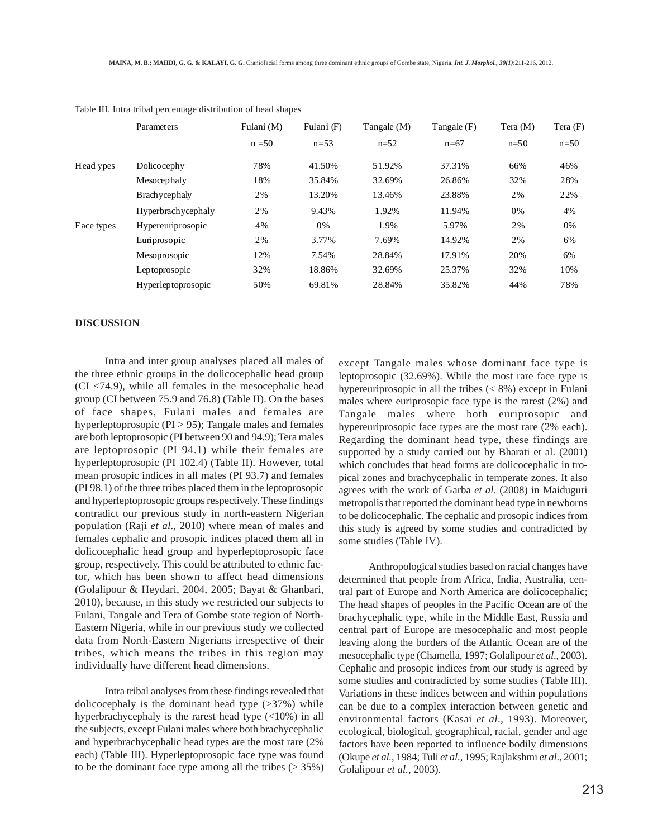|            | Parameters            | Fulani (M) | Fulani (F) | Tangale (M) | Tangale (F) | Tera (M) | Tera $(F)$ |
|------------|-----------------------|------------|------------|-------------|-------------|----------|------------|
|            |                       | $n = 50$   | $n = 53$   | $n=52$      | $n=67$      | $n=50$   | $n=50$     |
| Head ypes  | Dolicocephy           | 78%        | 41.50%     | 51.92%      | 37.31%      | 66%      | 46%        |
|            | Mesocephaly           | 18%        | 35.84%     | 32.69%      | 26.86%      | 32%      | 28%        |
|            | <b>Brach</b> ycephaly | 2%         | 13.20%     | 13.46%      | 23.88%      | 2%       | 22%        |
|            | Hyperbrachycephaly    | 2%         | 9.43%      | 1.92%       | 11.94%      | 0%       | 4%         |
| Face types | Hypereuriprosopic     | 4%         | 0%         | 1.9%        | 5.97%       | 2%       | 0%         |
|            | Euriprosopic          | 2%         | 3.77%      | 7.69%       | 14.92%      | 2%       | 6%         |
|            | Mesoprosopic          | 12%        | 7.54%      | 28.84%      | 17.91%      | 20%      | 6%         |
|            | Leptoprosopic         | 32%        | 18.86%     | 32.69%      | 25.37%      | 32%      | 10%        |
|            | Hyperleptoprosopic    | 50%        | 69.81%     | 28.84%      | 35.82%      | 44%      | 78%        |
|            |                       |            |            |             |             |          |            |

|  | Table III. Intra tribal percentage distribution of head shapes |  |  |
|--|----------------------------------------------------------------|--|--|
|--|----------------------------------------------------------------|--|--|

### **DISCUSSION**

Intra and inter group analyses placed all males of the three ethnic groups in the dolicocephalic head group (CI <74.9), while all females in the mesocephalic head group (CI between 75.9 and 76.8) (Table II). On the bases of face shapes, Fulani males and females are hyperleptoprosopic (PI > 95); Tangale males and females are both leptoprosopic (PI between 90 and 94.9); Tera males are leptoprosopic (PI 94.1) while their females are hyperleptoprosopic (PI 102.4) (Table II). However, total mean prosopic indices in all males (PI 93.7) and females (PI 98.1) of the three tribes placed them in the leptoprosopic and hyperleptoprosopic groups respectively. These findings contradict our previous study in north-eastern Nigerian population (Raji *et al*., 2010) where mean of males and females cephalic and prosopic indices placed them all in dolicocephalic head group and hyperleptoprosopic face group, respectively. This could be attributed to ethnic factor, which has been shown to affect head dimensions (Golalipour & Heydari, 2004, 2005; Bayat & Ghanbari, 2010), because, in this study we restricted our subjects to Fulani, Tangale and Tera of Gombe state region of North-Eastern Nigeria, while in our previous study we collected data from North-Eastern Nigerians irrespective of their tribes, which means the tribes in this region may individually have different head dimensions.

Intra tribal analyses from these findings revealed that dolicocephaly is the dominant head type  $(>37%)$  while hyperbrachycephaly is the rarest head type (<10%) in all the subjects, except Fulani males where both brachycephalic and hyperbrachycephalic head types are the most rare (2% each) (Table III). Hyperleptoprosopic face type was found to be the dominant face type among all the tribes  $($  > 35%)

except Tangale males whose dominant face type is leptoprosopic (32.69%). While the most rare face type is hypereuriprosopic in all the tribes  $(< 8\%)$  except in Fulani males where euriprosopic face type is the rarest (2%) and Tangale males where both euriprosopic and hypereuriprosopic face types are the most rare (2% each). Regarding the dominant head type, these findings are supported by a study carried out by Bharati et al. (2001) which concludes that head forms are dolicocephalic in tropical zones and brachycephalic in temperate zones. It also agrees with the work of Garba *et al*. (2008) in Maiduguri metropolis that reported the dominant head type in newborns to be dolicocephalic. The cephalic and prosopic indices from this study is agreed by some studies and contradicted by some studies (Table IV).

Anthropological studies based on racial changes have determined that people from Africa, India, Australia, central part of Europe and North America are dolicocephalic; The head shapes of peoples in the Pacific Ocean are of the brachycephalic type, while in the Middle East, Russia and central part of Europe are mesocephalic and most people leaving along the borders of the Atlantic Ocean are of the mesocephalic type (Chamella, 1997; Golalipour *et al*., 2003). Cephalic and prosopic indices from our study is agreed by some studies and contradicted by some studies (Table III). Variations in these indices between and within populations can be due to a complex interaction between genetic and environmental factors (Kasai *et al*., 1993). Moreover, ecological, biological, geographical, racial, gender and age factors have been reported to influence bodily dimensions (Okupe *et al.*, 1984; Tuli *et al.,* 1995; Rajlakshmi *et al*., 2001; Golalipour *et al.*, 2003).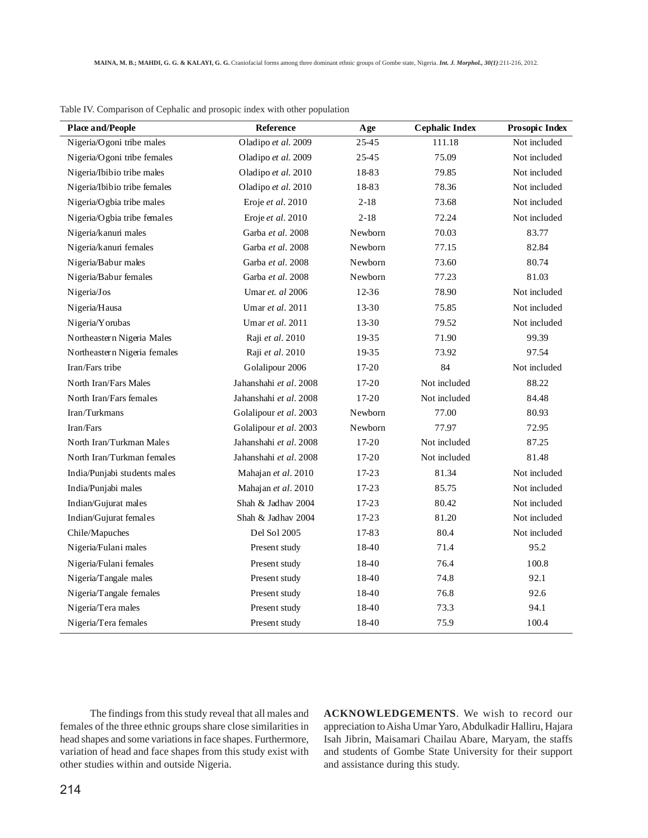| <b>Place and/People</b>      | <b>Reference</b>       | Age       | <b>Cephalic Index</b> | Prosopic Index |
|------------------------------|------------------------|-----------|-----------------------|----------------|
| Nigeria/Ogoni tribe males    | Oladipo et al. 2009    | 25-45     | 111.18                | Not included   |
| Nigeria/Ogoni tribe females  | Oladipo et al. 2009    | 25-45     | 75.09                 | Not included   |
| Nigeria/Ibibio tribe males   | Oladipo et al. 2010    | 18-83     | 79.85                 | Not included   |
| Nigeria/Ibibio tribe females | Oladipo et al. 2010    | 18-83     | 78.36                 | Not included   |
| Nigeria/Ogbia tribe males    | Eroje et al. 2010      | $2-18$    | 73.68                 | Not included   |
| Nigeria/Ogbia tribe females  | Eroje et al. 2010      | $2-18$    | 72.24                 | Not included   |
| Nigeria/kanun males          | Garba et al. 2008      | Newborn   | 70.03                 | 83.77          |
| Nigeria/kanuri females       | Garba et al. 2008      | Newborn   | 77.15                 | 82.84          |
| Nigeria/Babur males          | Garba et al. 2008      | Newborn   | 73.60                 | 80.74          |
| Nigeria/Babur females        | Garba et al. 2008      | Newborn   | 77.23                 | 81.03          |
| Nigeria/Jos                  | Umar et. al 2006       | 12-36     | 78.90                 | Not included   |
| Nigeria/Hausa                | Umar et al. 2011       | 13-30     | 75.85                 | Not included   |
| Nigeria/Yorubas              | Umar et al. 2011       | $13 - 30$ | 79.52                 | Not included   |
| Northeastern Nigeria Males   | Raji et al. 2010       | 19-35     | 71.90                 | 99.39          |
| Northeastern Nigeria females | Raji et al. 2010       | 19-35     | 73.92                 | 97.54          |
| Iran/Fars tribe              | Golalipour 2006        | 17-20     | 84                    | Not included   |
| North Iran/Fars Males        | Jahanshahi et al. 2008 | 17-20     | Not included          | 88.22          |
| North Iran/Fars females      | Jahanshahi et al. 2008 | 17-20     | Not included          | 84.48          |
| Iran/Turkmans                | Golalipour et al. 2003 | Newborn   | 77.00                 | 80.93          |
| Iran/Fars                    | Golalipour et al. 2003 | Newborn   | 77.97                 | 72.95          |
| North Iran/Turkman Males     | Jahanshahi et al. 2008 | 17-20     | Not included          | 87.25          |
| North Iran/Turkman females   | Jahanshahi et al. 2008 | 17-20     | Not included          | 81.48          |
| India/Punjabi students males | Mahajan et al. 2010    | 17-23     | 81.34                 | Not included   |
| India/Punjabi males          | Mahajan et al. 2010    | 17-23     | 85.75                 | Not included   |
| Indian/Gujurat males         | Shah & Jadhav 2004     | 17-23     | 80.42                 | Not included   |
| Indian/Gujurat females       | Shah & Jadhav 2004     | 17-23     | 81.20                 | Not included   |
| Chile/Mapuches               | Del Sol 2005           | 17-83     | 80.4                  | Not included   |
| Nigeria/Fulani males         | Present study          | 18-40     | 71.4                  | 95.2           |
| Nigeria/Fulani females       | Present study          | 18-40     | 76.4                  | 100.8          |
| Nigeria/Tangale males        | Present study          | 18-40     | 74.8                  | 92.1           |
| Nigeria/Tangale females      | Present study          | 18-40     | 76.8                  | 92.6           |
| Nigeria/Tera males           | Present study          | 18-40     | 73.3                  | 94.1           |
| Nigeria/Tera females         | Present study          | 18-40     | 75.9                  | 100.4          |

Table IV. Comparison of Cephalic and prosopic index with other population

The findings from this study reveal that all males and females of the three ethnic groups share close similarities in head shapes and some variations in face shapes. Furthermore, variation of head and face shapes from this study exist with other studies within and outside Nigeria.

**ACKNOWLEDGEMENTS**. We wish to record our appreciation to Aisha Umar Yaro, Abdulkadir Halliru, Hajara Isah Jibrin, Maisamari Chailau Abare, Maryam, the staffs and students of Gombe State University for their support and assistance during this study.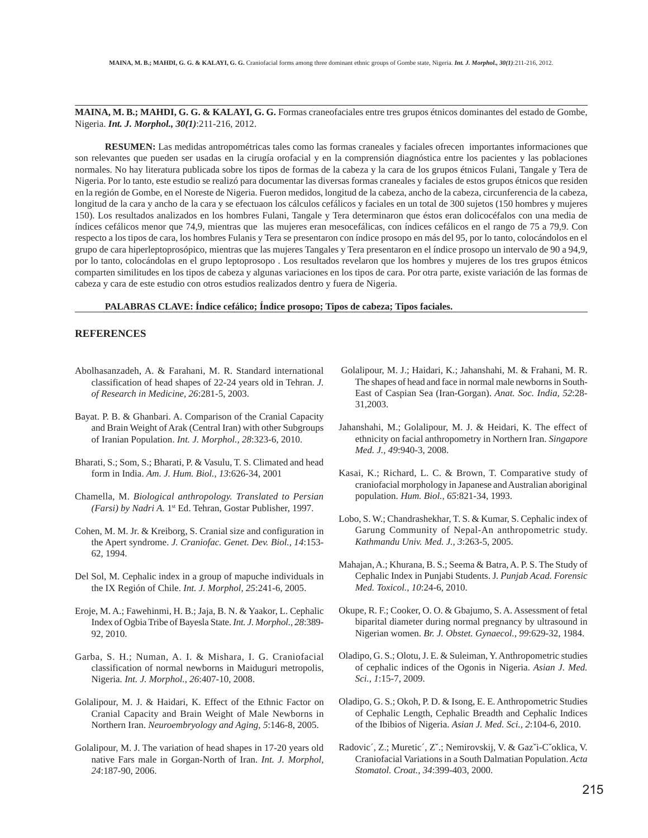**MAINA, M. B.; MAHDI, G. G. & KALAYI, G. G.** Formas craneofaciales entre tres grupos étnicos dominantes del estado de Gombe, Nigeria. *Int. J. Morphol., 30(1)*:211-216, 2012.

**RESUMEN:** Las medidas antropométricas tales como las formas craneales y faciales ofrecen importantes informaciones que son relevantes que pueden ser usadas en la cirugía orofacial y en la comprensión diagnóstica entre los pacientes y las poblaciones normales. No hay literatura publicada sobre los tipos de formas de la cabeza y la cara de los grupos étnicos Fulani, Tangale y Tera de Nigeria. Por lo tanto, este estudio se realizó para documentar las diversas formas craneales y faciales de estos grupos étnicos que residen en la región de Gombe, en el Noreste de Nigeria. Fueron medidos, longitud de la cabeza, ancho de la cabeza, circunferencia de la cabeza, longitud de la cara y ancho de la cara y se efectuaon los cálculos cefálicos y faciales en un total de 300 sujetos (150 hombres y mujeres 150). Los resultados analizados en los hombres Fulani, Tangale y Tera determinaron que éstos eran dolicocéfalos con una media de índices cefálicos menor que 74,9, mientras que las mujeres eran mesocefálicas, con índices cefálicos en el rango de 75 a 79,9. Con respecto a los tipos de cara, los hombres Fulanis y Tera se presentaron con índice prosopo en más del 95, por lo tanto, colocándolos en el grupo de cara hiperleptoprosópico, mientras que las mujeres Tangales y Tera presentaron en el índice prosopo un intervalo de 90 a 94,9, por lo tanto, colocándolas en el grupo leptoprosopo . Los resultados revelaron que los hombres y mujeres de los tres grupos étnicos comparten similitudes en los tipos de cabeza y algunas variaciones en los tipos de cara. Por otra parte, existe variación de las formas de cabeza y cara de este estudio con otros estudios realizados dentro y fuera de Nigeria.

#### **PALABRAS CLAVE: Índice cefálico; Índice prosopo; Tipos de cabeza; Tipos faciales.**

## **REFERENCES**

- Abolhasanzadeh, A. & Farahani, M. R. Standard international classification of head shapes of 22-24 years old in Tehran. *J. of Research in Medicine, 26*:281-5, 2003.
- Bayat. P. B. & Ghanbari. A. Comparison of the Cranial Capacity and Brain Weight of Arak (Central Iran) with other Subgroups of Iranian Population. *Int. J. Morphol., 28*:323-6, 2010.
- Bharati, S.; Som, S.; Bharati, P. & Vasulu, T. S. Climated and head form in India. *Am. J. Hum. Biol., 13*:626-34, 2001
- Chamella, M. *Biological anthropology. Translated to Persian (Farsi) by Nadri A.* 1st Ed. Tehran, Gostar Publisher, 1997.
- Cohen, M. M. Jr. & Kreiborg, S. Cranial size and configuration in the Apert syndrome. *J. Craniofac. Genet. Dev. Biol., 14*:153- 62, 1994.
- Del Sol, M. Cephalic index in a group of mapuche individuals in the IX Región of Chile. *Int. J. Morphol, 25*:241-6, 2005.
- Eroje, M. A.; Fawehinmi, H. B.; Jaja, B. N. & Yaakor, L. Cephalic Index of Ogbia Tribe of Bayesla State. *Int. J. Morphol., 28*:389- 92, 2010.
- Garba, S. H.; Numan, A. I. & Mishara, I. G. Craniofacial classification of normal newborns in Maiduguri metropolis, Nigeria*. Int. J. Morphol., 26*:407-10, 2008.
- Golalipour, M. J. & Haidari, K. Effect of the Ethnic Factor on Cranial Capacity and Brain Weight of Male Newborns in Northern Iran. *Neuroembryology and Aging, 5*:146-8, 2005.
- Golalipour, M. J. The variation of head shapes in 17-20 years old native Fars male in Gorgan-North of Iran. *Int. J. Morphol, 24*:187-90, 2006.
- Golalipour, M. J.; Haidari, K.; Jahanshahi, M. & Frahani, M. R. The shapes of head and face in normal male newborns in South-East of Caspian Sea (Iran-Gorgan). *Anat. Soc. India, 52*:28- 31,2003.
- Jahanshahi, M.; Golalipour, M. J. & Heidari, K. The effect of ethnicity on facial anthropometry in Northern Iran. *Singapore Med. J., 49*:940-3, 2008.
- Kasai, K.; Richard, L. C. & Brown, T. Comparative study of craniofacial morphology in Japanese and Australian aboriginal population. *Hum. Biol., 65*:821-34, 1993.
- Lobo, S. W.; Chandrashekhar, T. S. & Kumar, S. Cephalic index of Garung Community of Nepal-An anthropometric study. *Kathmandu Univ. Med. J., 3*:263-5, 2005.
- Mahajan, A.; Khurana, B. S.; Seema & Batra, A. P. S. The Study of Cephalic Index in Punjabi Students. J*. Punjab Acad. Forensic Med. Toxicol., 10*:24-6, 2010.
- Okupe, R. F.; Cooker, O. O. & Gbajumo, S. A. Assessment of fetal biparital diameter during normal pregnancy by ultrasound in Nigerian women. *Br. J. Obstet. Gynaecol., 99*:629-32, 1984.
- Oladipo, G. S.; Olotu, J. E. & Suleiman, Y. Anthropometric studies of cephalic indices of the Ogonis in Nigeria. *Asian J. Med. Sci., 1*:15-7, 2009.
- Oladipo, G. S.; Okoh, P. D. & Isong, E. E. Anthropometric Studies of Cephalic Length, Cephalic Breadth and Cephalic Indices of the Ibibios of Nigeria. *Asian J. Med. Sci., 2*:104-6, 2010.
- Radovic´, Z.; Muretic´, Zˇ.; Nemirovskij, V. & Gazˇi-Cˇoklica, V. Craniofacial Variations in a South Dalmatian Population. *Acta Stomatol. Croat., 34*:399-403, 2000.